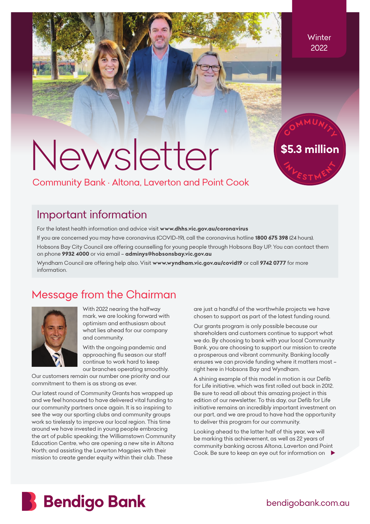# *Newsletter*

*\$5.3 million*

# *Community Bank • Altona, Laverton and Point Cook*

# *Important information*

*For the latest health information and advice visit www.dhhs.vic.gov.au/coronavirus*

*If you are concerned you may have coronavirus (COVID-19), call the coronavirus hotline 1800 675 398 (24 hours). Hobsons Bay City Council are offering counselling for young people through Hobsons Bay UP. You can contact them on phone 9932 4000 or via email – adminys@hobsonsbay.vic.gov.au*

*Wyndham Council are offering help also. Visit www.wyndham.vic.gov.au/covid19 or call 9742 0777 for more information.*

# *Message from the Chairman*



*With 2022 nearing the halfway mark, we are looking forward with optimism and enthusiasm about what lies ahead for our company and community.*

*With the ongoing pandemic and approaching flu season our staff continue to work hard to keep our branches operating smoothly.* 

*Our customers remain our number one priority and our commitment to them is as strong as ever.*

*Our latest round of Community Grants has wrapped up and we feel honoured to have delivered vital funding to our community partners once again. It is so inspiring to see the way our sporting clubs and community groups work so tirelessly to improve our local region. This time around we have invested in young people embracing the art of public speaking; the Williamstown Community Education Centre, who are opening a new site in Altona North; and assisting the Laverton Magpies with their mission to create gender equity within their club. These* 

*are just a handful of the worthwhile projects we have chosen to support as part of the latest funding round.*

*Our grants program is only possible because our shareholders and customers continue to support what we do. By choosing to bank with your local Community Bank, you are choosing to support our mission to create a prosperous and vibrant community. Banking locally ensures we can provide funding where it matters most – right here in Hobsons Bay and Wyndham.*

*A shining example of this model in motion is our Defib*  for Life initiative, which was first rolled out back in 2012. *Be sure to read all about this amazing project in this edition of our newsletter. To this day, our Defib for Life initiative remains an incredibly important investment on our part, and we are proud to have had the opportunity to deliver this program for our community.*

Looking ahead to the latter half of this year, we will *be marking this achievement, as well as 22 years of community banking across Altona, Laverton and Point Cook. Be sure to keep an eye out for information on* 



*bendigobank.com.au*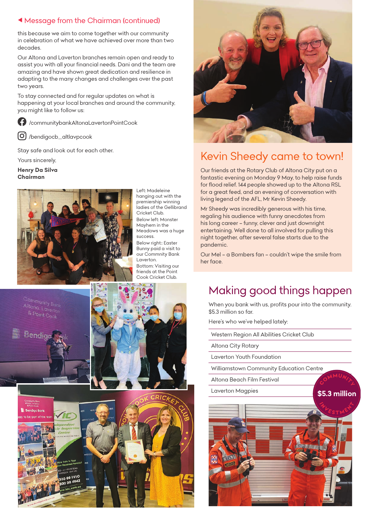## *Message from the Chairman (continued)*

*this because we aim to come together with our community in celebration of what we have achieved over more than two decades.*

*Our Altona and Laverton branches remain open and ready to assist you with all your financial needs. Dani and the team are amazing and have shown great dedication and resilience in adapting to the many changes and challenges over the past two years.*

*To stay connected and for regular updates on what is happening at your local branches and around the community, you might like to follow us:*

*[/communitybankAltonaLavertonPointCook](https://www.facebook.com/communitybankAltonaLavertonPointCook)*

*[/bendigocb\\_altlavpcook](https://www.instagram.com/bendigocb_altlavpcook/)*

*Stay safe and look out for each other.*

*Yours sincerely,*

*Henry Da Silva Chairman*



*Left: Madeleine hanging out with the premiership winning ladies of the Gellibrand Cricket Club. Below left: Monster Mayhem in the Meadows was a huge success. Below right:: Easter Bunny paid a visit to our Commnity Bank Laverton. Bottom: Visiting our friends at the Point Cook Cricket Club.*

Bendic





# *Kevin Sheedy came to town!*

*Our friends at the Rotary Club of Altona City put on a fantastic evening on Monday 9 May, to help raise funds for flood relief. 144 people showed up to the Altona RSL for a great feed, and an evening of conversation with living legend of the AFL, Mr Kevin Sheedy.*

*Mr Sheedy was incredibly generous with his time, regaling his audience with funny anecdotes from his long career – funny, clever and just downright entertaining. Well done to all involved for pulling this night together, after several false starts due to the pandemic.*

*Our Mel – a Bombers fan – couldn't wipe the smile from her face.*

# *Making good things happen*

*When you bank with us, profits pour into the community. \$5.3 million so far.*

*Here's who we've helped lately:*

*Western Region All Abilities Cricket Club*

*Altona City Rotary*

*Laverton Youth Foundation*

*Williamstown Community Education Centre*

*Altona Beach Film Festival*

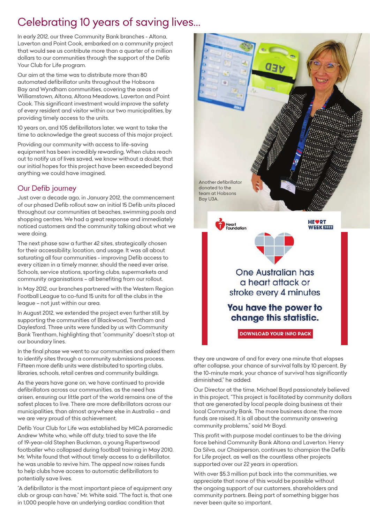# *Celebrating 10 years of saving lives…*

*In early 2012, our three Community Bank branches - Altona, Laverton and Point Cook, embarked on a community project that would see us contribute more than a quarter of a million dollars to our communities through the support of the Defib Your Club for Life program.*

*Our aim at the time was to distribute more than 80 automated defibrillator units throughout the Hobsons Bay and Wyndham communities, covering the areas of Williamstown, Altona, Altona Meadows, Laverton and Point Cook. This significant investment would improve the safety of every resident and visitor within our two municipalities, by providing timely access to the units.*

10 years on, and 105 defibrillators later, we want to take the *time to acknowledge the great success of this major project.*

*Providing our community with access to life-saving equipment has been incredibly rewarding. When clubs reach out to notify us of lives saved, we know without a doubt, that our initial hopes for this project have been exceeded beyond anything we could have imagined.*

## *Our Defib journey*

*Just over a decade ago, in January 2012, the commencement of our phased Defib rollout saw an initial 15 Defib units placed throughout our communities at beaches, swimming pools and shopping centres. We had a great response and immediately noticed customers and the community talking about what we were doing.*

*The next phase saw a further 42 sites, strategically chosen for their accessibility, location, and usage. It was all about saturating all four communities - improving Defib access to every citizen in a timely manner, should the need ever arise. Schools, service stations, sporting clubs, supermarkets and community organisations – all benefiting from our rollout.*

*In May 2012, our branches partnered with the Western Region Football League to co-fund 15 units for all the clubs in the league – not just within our area.*

*In August 2012, we extended the project even further still, by supporting the communities of Blackwood, Trentham and Daylesford. Three units were funded by us with Community Bank Trentham, highlighting that "community" doesn't stop at our boundary lines.*

*In the final phase we went to our communities and asked them to identify sites through a community submissions process. Fifteen more defib units were distributed to sporting clubs, libraries, schools, retail centres and community buildings.*

*As the years have gone on, we have continued to provide defibrillators across our communities, as the need has arisen, ensuring our little part of the world remains one of the safest places to live. There are more defibrillators across our municipalities, than almost anywhere else in Australia – and we are very proud of this achievement.*

*Defib Your Club for Life was established by MICA paramedic Andrew White who, while off duty, tried to save the life of 19-year-old Stephen Buckman, a young Rupertswood footballer who collapsed during football training in May 2010. Mr. White found that without timely access to a defibrillator, he was unable to revive him. The appeal now raises funds to help clubs have access to automatic defibrillators to potentially save lives.*

*"A defibrillator is the most important piece of equipment any club or group can have," Mr. White said. "The fact is, that one in 1,000 people have an underlying cardiac condition that* 



*they are unaware of and for every one minute that elapses after collapse, your chance of survival falls by 10 percent. By the 10-minute mark, your chance of survival has significantly diminished," he added.*

*Our Director at the time, Michael Boyd passionately believed in this project, "This project is facilitated by community dollars that are generated by local people doing business at their local Community Bank. The more business done; the more funds are raised. It is all about the community answering community problems," said Mr Boyd.*

*This profit with purpose model continues to be the driving force behind Community Bank Altona and Laverton. Henry Da Silva, our Chairperson, continues to champion the Defib for Life project, as well as the countless other projects supported over our 22 years in operation.*

*With over \$5.3 million put back into the communities, we appreciate that none of this would be possible without the ongoing support of our customers, shareholders and community partners. Being part of something bigger has never been quite so important.*